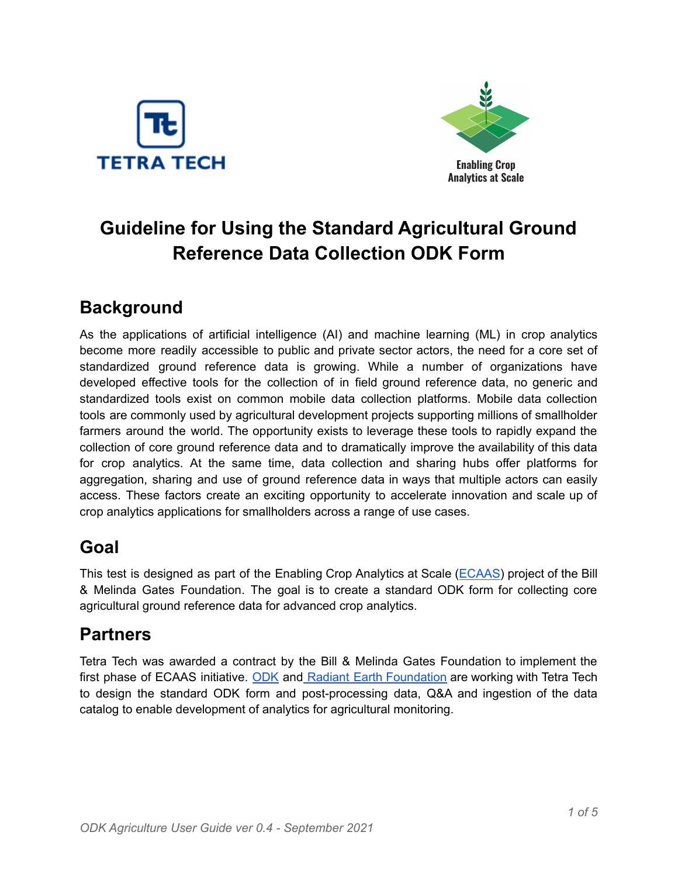



# **Guideline for Using the Standard Agricultural Ground Reference Data Collection ODK Form**

# **Background**

As the applications of artificial intelligence (AI) and machine learning (ML) in crop analytics become more readily accessible to public and private sector actors, the need for a core set of standardized ground reference data is growing. While a number of organizations have developed effective tools for the collection of in field ground reference data, no generic and standardized tools exist on common mobile data collection platforms. Mobile data collection tools are commonly used by agricultural development projects supporting millions of smallholder farmers around the world. The opportunity exists to leverage these tools to rapidly expand the collection of core ground reference data and to dramatically improve the availability of this data for crop analytics. At the same time, data collection and sharing hubs offer platforms for aggregation, sharing and use of ground reference data in ways that multiple actors can easily access. These factors create an exciting opportunity to accelerate innovation and scale up of crop analytics applications for smallholders across a range of use cases.

# **Goal**

This test is designed as part of the Enabling Crop Analytics at Scale ([ECAAS\)](https://cropanalytics.net/) project of the Bill & Melinda Gates Foundation. The goal is to create a standard ODK form for collecting core agricultural ground reference data for advanced crop analytics.

### **Partners**

Tetra Tech was awarded a contract by the Bill & Melinda Gates Foundation to implement the first phase of ECAAS initiative. [ODK](https://getodk.org/) and Radiant Earth [Foundation](https://www.radiant.earth/) are working with Tetra Tech to design the standard ODK form and post-processing data, Q&A and ingestion of the data catalog to enable development of analytics for agricultural monitoring.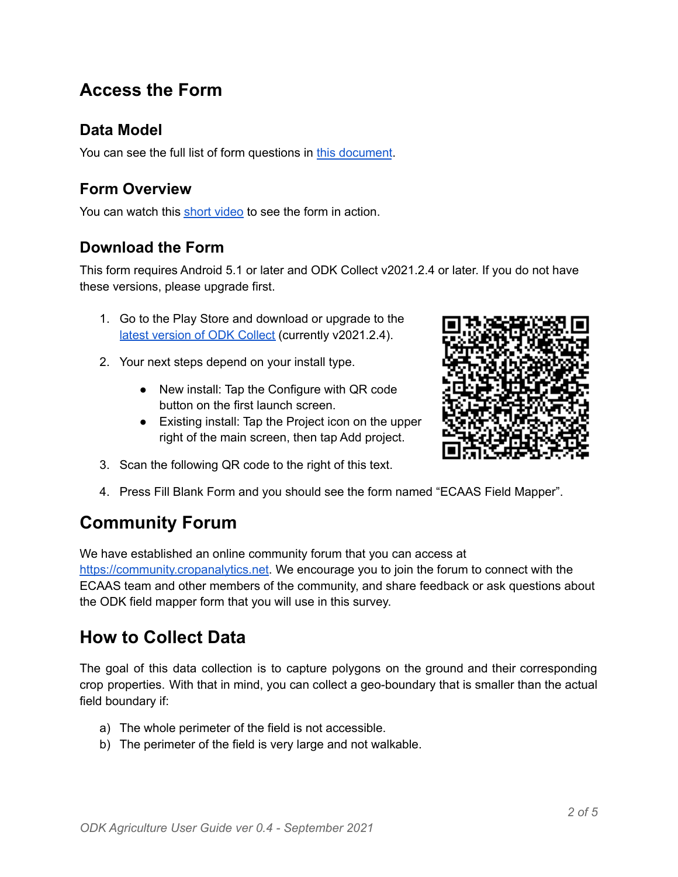### **Access the Form**

#### **Data Model**

You can see the full list of form questions in this [document](https://docs.google.com/document/d/1--EMgifXQKuQHeDA8gDUbPFosqJtsFrZjxQ-pcN-Oxw/edit?usp=sharing).

#### **Form Overview**

You can watch this short [video](https://youtu.be/d3CpqR6zbK8) to see the form in action.

#### **Download the Form**

This form requires Android 5.1 or later and ODK Collect v2021.2.4 or later. If you do not have these versions, please upgrade first.

- 1. Go to the Play Store and download or upgrade to the latest [version](https://play.google.com/store/apps/details?id=org.odk.collect.android) of ODK Collect (currently v2021.2.4).
- 2. Your next steps depend on your install type.
	- New install: Tap the Configure with QR code button on the first launch screen.
	- Existing install: Tap the Project icon on the upper right of the main screen, then tap Add project.



- 3. Scan the following QR code to the right of this text.
- 4. Press Fill Blank Form and you should see the form named "ECAAS Field Mapper".

# **Community Forum**

We have established an online community forum that you can access at

[https://community.cropanalytics.net.](https://community.cropanalytics.net) We encourage you to join the forum to connect with the ECAAS team and other members of the community, and share feedback or ask questions about the ODK field mapper form that you will use in this survey.

### **How to Collect Data**

The goal of this data collection is to capture polygons on the ground and their corresponding crop properties. With that in mind, you can collect a geo-boundary that is smaller than the actual field boundary if:

- a) The whole perimeter of the field is not accessible.
- b) The perimeter of the field is very large and not walkable.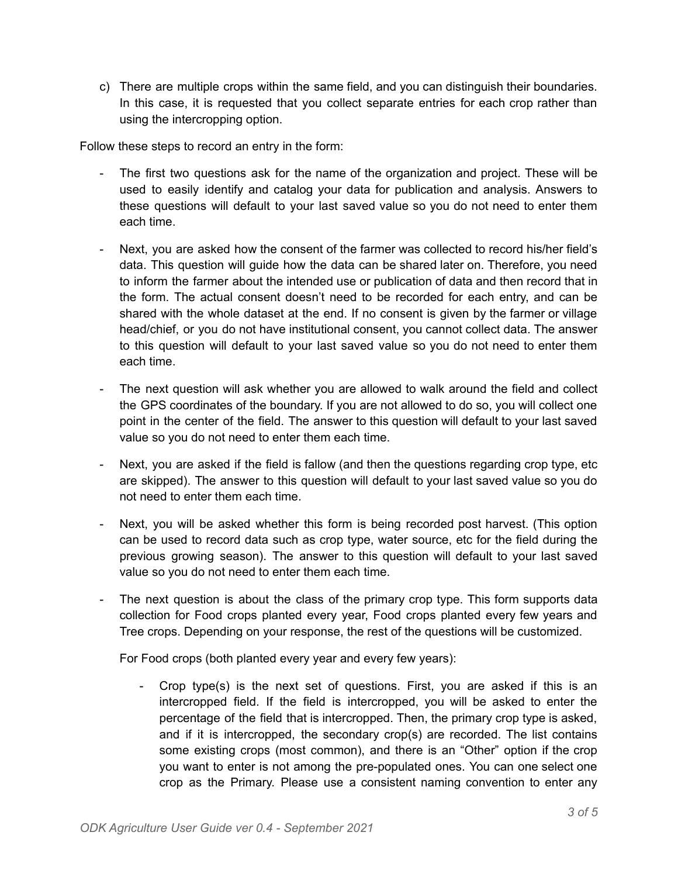c) There are multiple crops within the same field, and you can distinguish their boundaries. In this case, it is requested that you collect separate entries for each crop rather than using the intercropping option.

Follow these steps to record an entry in the form:

- The first two questions ask for the name of the organization and project. These will be used to easily identify and catalog your data for publication and analysis. Answers to these questions will default to your last saved value so you do not need to enter them each time.
- Next, you are asked how the consent of the farmer was collected to record his/her field's data. This question will guide how the data can be shared later on. Therefore, you need to inform the farmer about the intended use or publication of data and then record that in the form. The actual consent doesn't need to be recorded for each entry, and can be shared with the whole dataset at the end. If no consent is given by the farmer or village head/chief, or you do not have institutional consent, you cannot collect data. The answer to this question will default to your last saved value so you do not need to enter them each time.
- The next question will ask whether you are allowed to walk around the field and collect the GPS coordinates of the boundary. If you are not allowed to do so, you will collect one point in the center of the field. The answer to this question will default to your last saved value so you do not need to enter them each time.
- Next, you are asked if the field is fallow (and then the questions regarding crop type, etc are skipped). The answer to this question will default to your last saved value so you do not need to enter them each time.
- Next, you will be asked whether this form is being recorded post harvest. (This option can be used to record data such as crop type, water source, etc for the field during the previous growing season). The answer to this question will default to your last saved value so you do not need to enter them each time.
- The next question is about the class of the primary crop type. This form supports data collection for Food crops planted every year, Food crops planted every few years and Tree crops. Depending on your response, the rest of the questions will be customized.

For Food crops (both planted every year and every few years):

- Crop type(s) is the next set of questions. First, you are asked if this is an intercropped field. If the field is intercropped, you will be asked to enter the percentage of the field that is intercropped. Then, the primary crop type is asked, and if it is intercropped, the secondary crop(s) are recorded. The list contains some existing crops (most common), and there is an "Other" option if the crop you want to enter is not among the pre-populated ones. You can one select one crop as the Primary. Please use a consistent naming convention to enter any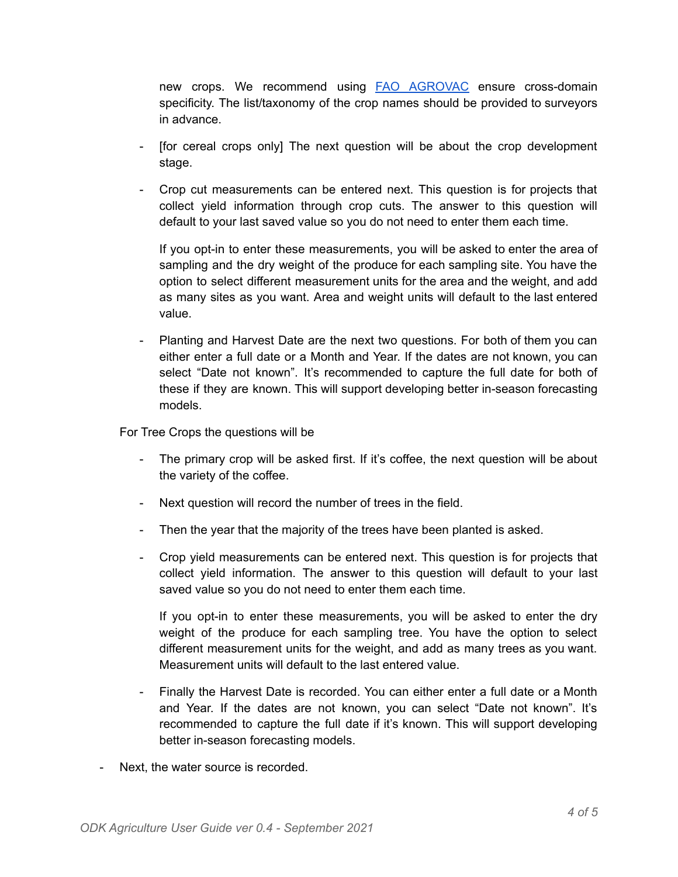new crops. We recommend using FAO [AGROVAC](http://aims.fao.org/standards/agrovoc/editorial_guidelines) ensure cross-domain specificity. The list/taxonomy of the crop names should be provided to surveyors in advance.

- [for cereal crops only] The next question will be about the crop development stage.
- Crop cut measurements can be entered next. This question is for projects that collect yield information through crop cuts. The answer to this question will default to your last saved value so you do not need to enter them each time.

If you opt-in to enter these measurements, you will be asked to enter the area of sampling and the dry weight of the produce for each sampling site. You have the option to select different measurement units for the area and the weight, and add as many sites as you want. Area and weight units will default to the last entered value.

Planting and Harvest Date are the next two questions. For both of them you can either enter a full date or a Month and Year. If the dates are not known, you can select "Date not known". It's recommended to capture the full date for both of these if they are known. This will support developing better in-season forecasting models.

For Tree Crops the questions will be

- The primary crop will be asked first. If it's coffee, the next question will be about the variety of the coffee.
- Next question will record the number of trees in the field.
- Then the year that the majority of the trees have been planted is asked.
- Crop yield measurements can be entered next. This question is for projects that collect yield information. The answer to this question will default to your last saved value so you do not need to enter them each time.

If you opt-in to enter these measurements, you will be asked to enter the dry weight of the produce for each sampling tree. You have the option to select different measurement units for the weight, and add as many trees as you want. Measurement units will default to the last entered value.

- Finally the Harvest Date is recorded. You can either enter a full date or a Month and Year. If the dates are not known, you can select "Date not known". It's recommended to capture the full date if it's known. This will support developing better in-season forecasting models.
- Next, the water source is recorded.